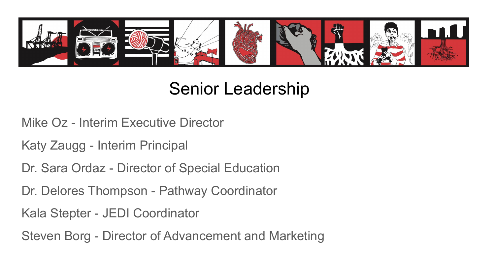

#### Senior Leadership

- Mike Oz Interim Executive Director
- Katy Zaugg Interim Principal
- Dr. Sara Ordaz Director of Special Education
- Dr. Delores Thompson Pathway Coordinator
- Kala Stepter JEDI Coordinator
- Steven Borg Director of Advancement and Marketing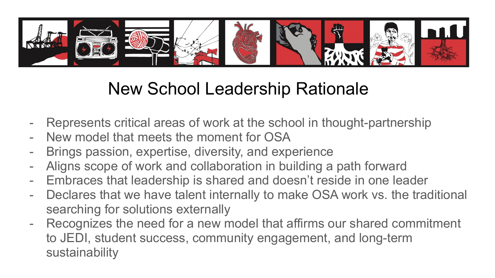

#### New School Leadership Rationale

- Represents critical areas of work at the school in thought-partnership
- New model that meets the moment for OSA
- Brings passion, expertise, diversity, and experience
- Aligns scope of work and collaboration in building a path forward
- Embraces that leadership is shared and doesn't reside in one leader
- Declares that we have talent internally to make OSA work vs. the traditional searching for solutions externally
- Recognizes the need for a new model that affirms our shared commitment to JEDI, student success, community engagement, and long-term sustainability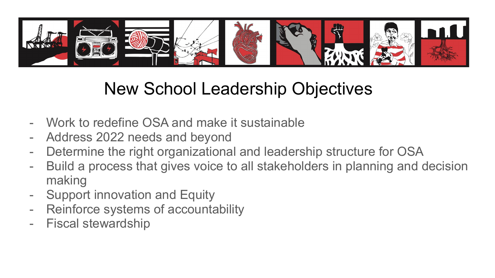

### New School Leadership Objectives

- Work to redefine OSA and make it sustainable
- Address 2022 needs and beyond
- Determine the right organizational and leadership structure for OSA
- Build a process that gives voice to all stakeholders in planning and decision making
- Support innovation and Equity
- Reinforce systems of accountability
- Fiscal stewardship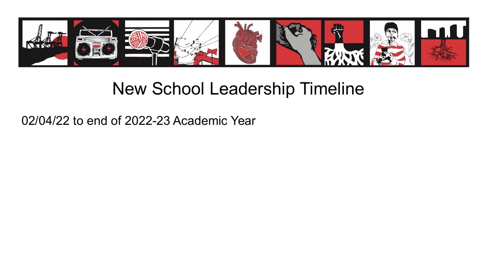

#### New School Leadership Timeline

02/04/22 to end of 2022-23 Academic Year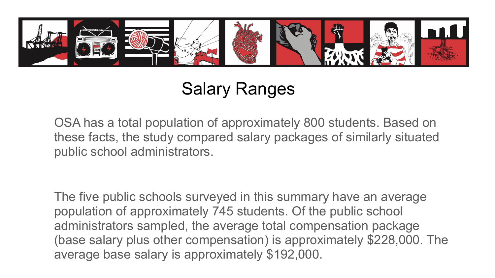

## Salary Ranges

OSA has a total population of approximately 800 students. Based on these facts, the study compared salary packages of similarly situated public school administrators.

The five public schools surveyed in this summary have an average population of approximately 745 students. Of the public school administrators sampled, the average total compensation package (base salary plus other compensation) is approximately \$228,000. The average base salary is approximately \$192,000.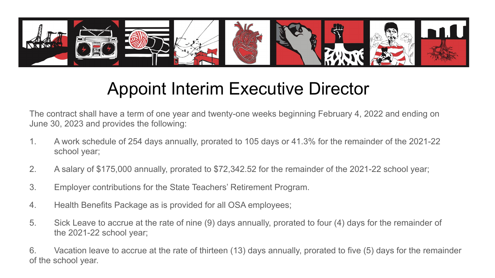

#### Appoint Interim Executive Director

The contract shall have a term of one year and twenty-one weeks beginning February 4, 2022 and ending on June 30, 2023 and provides the following:

- 1. A work schedule of 254 days annually, prorated to 105 days or 41.3% for the remainder of the 2021-22 school year;
- 2. A salary of \$175,000 annually, prorated to \$72,342.52 for the remainder of the 2021-22 school year;
- 3. Employer contributions for the State Teachers' Retirement Program.
- 4. Health Benefits Package as is provided for all OSA employees;
- 5. Sick Leave to accrue at the rate of nine (9) days annually, prorated to four (4) days for the remainder of the 2021-22 school year;

6. Vacation leave to accrue at the rate of thirteen (13) days annually, prorated to five (5) days for the remainder of the school year.